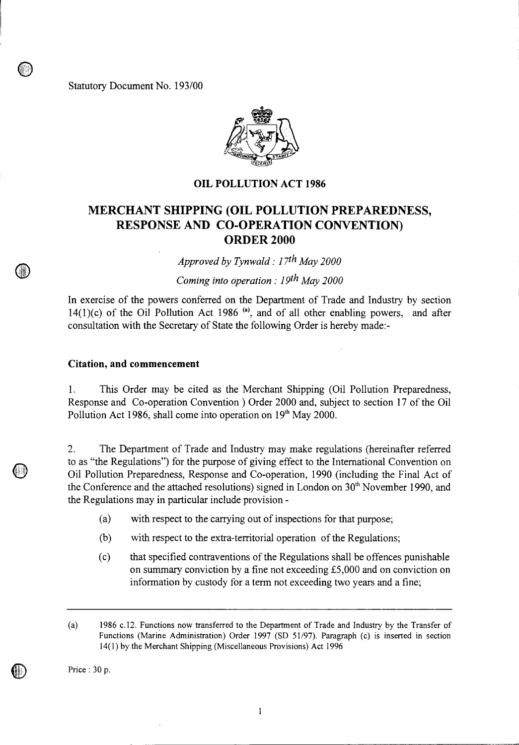Statutory Document No. 193/00



## **OIL POLLUTION ACT 1986**

## **MERCHANT SHIPPING (OIL POLLUTION PREPAREDNESS, RESPONSE AND CO-OPERATION CONVENTION) ORDER 2000**

*Approved by Tynwald : 17th May 2000* 

*Coming into operation : 19th May 2000* 

In exercise of the powers conferred on the Department of Trade and Industry by section 14(1)(c) of the Oil Pollution Act 1986<sup>(a)</sup>, and of all other enabling powers, and after consultation with the Secretary of State the following Order is hereby made:-

## **Citation, and commencement**

**4** 

 $\circledcirc$ 

1. This Order may be cited as the Merchant Shipping (Oil Pollution Preparedness, Response and Co-operation Convention ) Order 2000 and, subject to section 17 of the Oil Pollution Act 1986, shall come into operation on  $19<sup>th</sup>$  May 2000.

2. The Department of Trade and Industry may make regulations (hereinafter referred to as "the Regulations") for the purpose of giving effect to the International Convention on Oil Pollution Preparedness, Response and Co-operation, 1990 (including the Final Act of the Conference and the attached resolutions) signed in London on  $30<sup>th</sup>$  November 1990, and the Regulations may in particular include provision -

- (a) with respect to the carrying out of inspections for that purpose;
- (b) with respect to the extra-territorial operation of the Regulations;
- (c) that specified contraventions of the Regulations shall be offences punishable on summary conviction by a fine not exceeding £5,000 and on conviction on information by custody for a term not exceeding two years and a fine;

Price : 30 p.

 $\mathbb U$ 

 $\mathbf{1}$ 

<sup>(</sup>a) 1986 c.12. Functions now transferred to the Department of Trade and Industry by the Transfer of Functions (Marine Administration) Order 1997 (SD 51/97). Paragraph (c) is inserted in section 14(1) by the Merchant Shipping (Miscellaneous Provisions) Act 1996